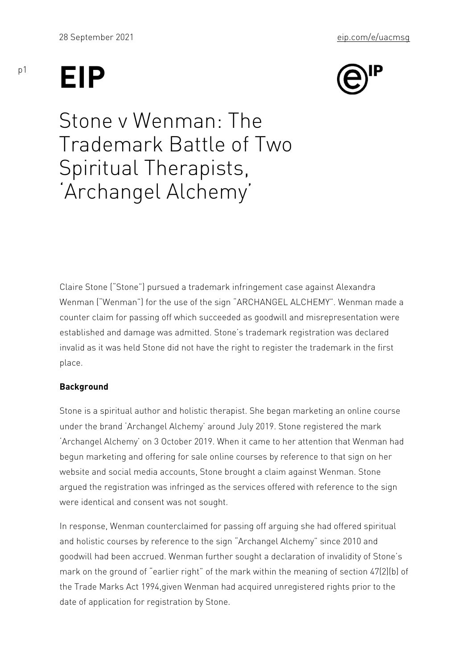# EIP

# Stone v Wenman: The Trademark Battle of Two Spiritual Therapists, Archangel Alchemy

Claire Stone ( Stone ) pursued a trademark infringement case agai Wenman ( Wenman ) for the use of the sign ARCHANGEL ALCHEMY counter claim for passing off which succeeded as goodwill and mis established and damage was admitted. Stone s trademark registration invalid as it was held Stone did not have the right to register the t place.

## Background

Stone is a spiritual author and holistic therapist. She began marke under the brand Archangel Alchemy around July 2019. Stone regis Archangel Alchemy on 3 October 2019. When it came to her attent begun marketing and offering for sale online courses by reference website and social media accounts, Stone brought a claim against argued the registration was infringed as the services offered with  $\overline{\phantom{a}}$ were identical and consent was not sought.

In response, Wenman counterclaimed for passing off arguing she had  $\alpha$ and holistic courses by reference to the sign Archangel Alchemy goodwill had been accrued. Wenman further sought a declaration of mark on the ground of earlier right of the mark within the meanin the Trade Marks Act 1994,given Wenman had acquired unregistered date of application for registration by Stone.